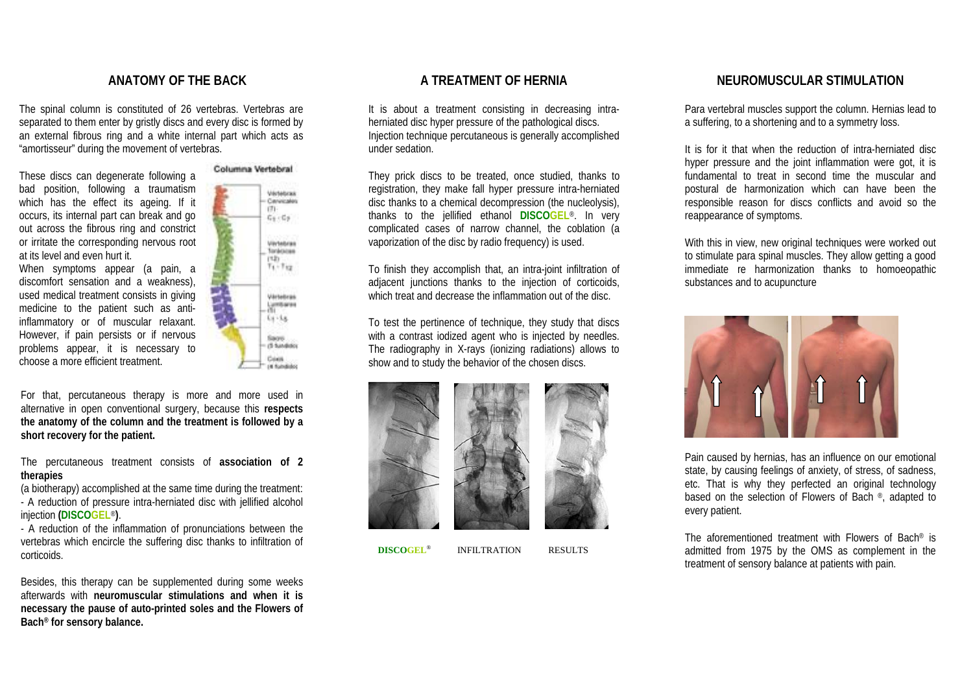#### **ANATOMY OF THE BACK**

The spinal column is constituted of 26 vertebras. Vertebras are separated to them enter by gristly discs and every disc is formed by an external fibrous ring and a white internal part which acts as "amortisseur" during the movement of vertebras.

These discs can degenerate following a bad position, following a traumatism which has the effect its ageing. If it occurs, its internal part can break and go out across the fibrous ring and constrict or irritate the corresponding nervous root at its level and even hurt it.

When symptoms appear (a pain, a discomfort sensation and a weakness), used medical treatment consists in giving medicine to the patient such as antiinflammatory or of muscular relaxant. However, if pain persists or if nervous problems appear, it is necessary to choose a more efficient treatment.



For that, percutaneous therapy is more and more used in alternative in open conventional surgery, because this **respects the anatomy of the column and the treatment is followed by a short recovery for the patient.**

The percutaneous treatment consists of **association of 2 therapies**

(a biotherapy) accomplished at the same time during the treatment: - A reduction of pressure intra-herniated disc with jellified alcohol injection **(DISCOGEL**® **)**.

- A reduction of the inflammation of pronunciations between the vertebras which encircle the suffering disc thanks to infiltration of corticoids.

Besides, this therapy can be supplemented during some weeks afterwards with **neuromuscular stimulations and when it is necessary the pause of auto-printed soles and the Flowers of Bach® for sensory balance.**

## **A TREATMENT OF HERNIA**

It is about a treatment consisting in decreasing intraherniated disc hyper pressure of the pathological discs. Injection technique percutaneous is generally accomplished under sedation.

They prick discs to be treated, once studied, thanks to registration, they make fall hyper pressure intra-herniated disc thanks to a chemical decompression (the nucleolysis), thanks to the jellified ethanol **DISCOGEL**®. In very complicated cases of narrow channel, the coblation (a vaporization of the disc by radio frequency) is used.

To finish they accomplish that, an intra-joint infiltration of adjacent junctions thanks to the injection of corticoids, which treat and decrease the inflammation out of the disc.

To test the pertinence of technique, they study that discs with a contrast iodized agent who is injected by needles. The radiography in X-rays (ionizing radiations) allows to show and to study the behavior of the chosen discs.





**DISCOGEL**® INFILTRATION RESULTS

#### **NEUROMUSCULAR STIMULATION**

Para vertebral muscles support the column. Hernias lead to a suffering, to a shortening and to a symmetry loss.

It is for it that when the reduction of intra-herniated disc hyper pressure and the joint inflammation were got, it is fundamental to treat in second time the muscular and postural de harmonization which can have been the responsible reason for discs conflicts and avoid so the reappearance of symptoms.

With this in view, new original techniques were worked out to stimulate para spinal muscles. They allow getting a good immediate re harmonization thanks to homoeopathic substances and to acupuncture



Pain caused by hernias, has an influence on our emotional state, by causing feelings of anxiety, of stress, of sadness, etc. That is why they perfected an original technology based on the selection of Flowers of Bach ®, adapted to every patient.

The aforementioned treatment with Flowers of Bach® is admitted from 1975 by the OMS as complement in the treatment of sensory balance at patients with pain.